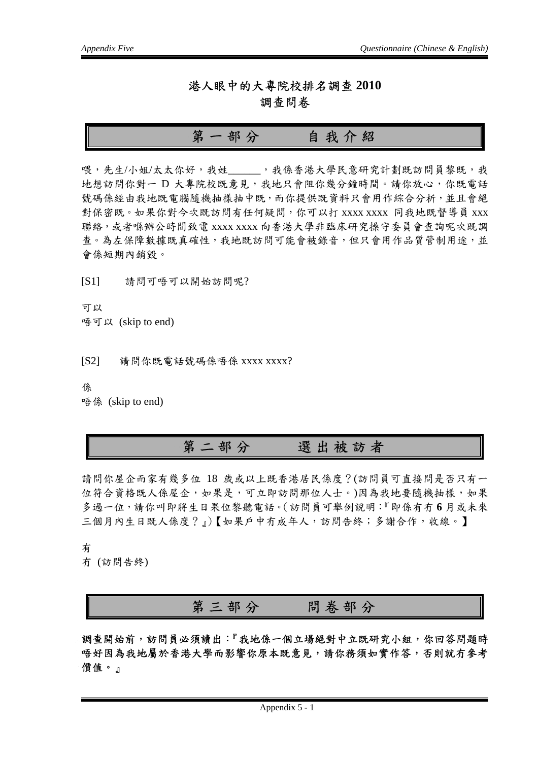#### 港人眼中的大專院校排名調查 **2010**  調查問卷

### 第一部分自我介紹

喂,先生/小姐/太太你好,我姓 ,我係香港大學民意研究計劃既訪問員黎既,我 地想訪問你對一 D 大專院校既意見,我地只會阻你幾分鐘時間。請你放心,你既電話 號碼係經由我地既電腦隨機抽樣抽中既,而你提供既資料只會用作綜合分析,並且會絕 對保密既。如果你對今次既訪問有任何疑問,你可以打 xxxx xxxx 同我地既督導員 xxx 聯絡,或者喺辦公時間致電 xxxx xxxx 向香港大學非臨床研究操守委員會查詢呢次既調 查。為左保障數據既真確性,我地既訪問可能會被錄音,但只會用作品質管制用途,並 會係短期內銷毀。

[S1] 請問可唔可以開始訪問呢?

可以 唔可以 (skip to end)

[S2] 請問你既電話號碼係唔係 xxxx xxxx?

係

唔係 (skip to end)

## 第二部分選出被訪者

請問你屋企而家有幾多位 18 歲或以上既香港居民係度?(訪問員可直接問是否只有一 位符合資格既人係屋企,如果是,可立即訪問那位人士。)因為我地要隨機抽樣,如果 多過一位,請你叫即將生日果位黎聽電話。(訪問員可舉例說明:『即係有冇 **6** 月或未來 三個月內生日既人係度?』)【如果戶中冇成年人,訪問告終;多謝合作,收線。】

有

冇 (訪問告終)

第三部分問卷部分

調查開始前,訪問員必須讀出:『我地係一個立場絕對中立既研究小組,你回答問題時 唔好因為我地屬於香港大學而影響你原本既意見,請你務須如實作答,否則就冇參考 價值。』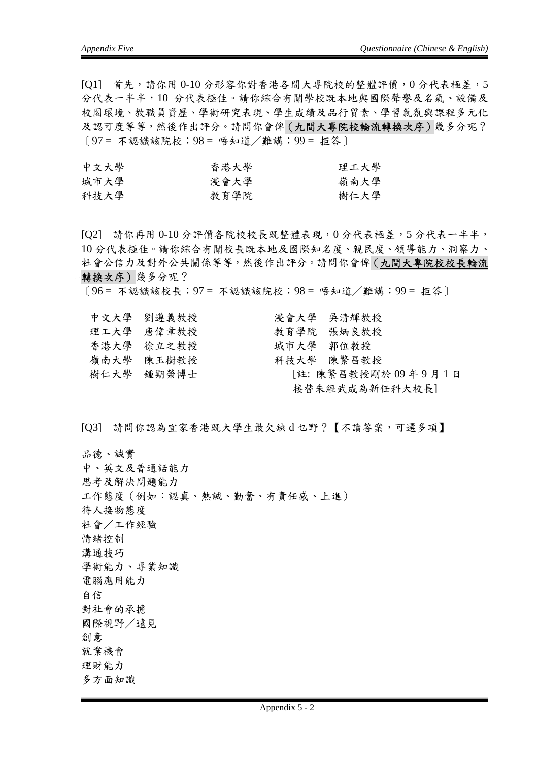[Q1] 首先,請你用 0-10 分形容你對香港各間大專院校的整體評價, 0 分代表極差, 5 分代表一半半,10 分代表極佳。請你綜合有關學校既本地與國際聲譽及名氣、設備及 校園環境、教職員資歷、學術研究表現、學生成績及品行質素、學習氣氛與課程多元化 及認可度等等,然後作出評分。請問你會俾(九間大專院校輪流轉換次序)幾多分呢?  $[97 = \pi 33]$ 識該院校;  $98 =$  唔知道 / 難講;  $99 = 12$  , 不

| 中文大學 | 香港大學 | 理工大學 |
|------|------|------|
| 城市大學 | 浸會大學 | 嶺南大學 |
| 科技大學 | 教育學院 | 樹仁大學 |

[Q2] 請你再用 0-10 分評價各院校校長既整體表現,0 分代表極差,5 分代表一半半, 10 分代表極佳。請你綜合有關校長既本地及國際知名度、親民度、領導能力、洞察力、 社會公信力及對外公共關係等等,然後作出評分。請問你會俾(九間大專院校校長輪流 轉換次序)幾多分呢?

〔96 = 不認識該校長;97 = 不認識該院校;98 = 唔知道/難講;99 = 拒答〕

| 中文大學 劉遵義教授 | 浸會大學 吴清輝教授               |  |
|------------|--------------------------|--|
| 理工大學 唐偉章教授 | 教育学院 張炳良教授               |  |
| 香港大學 徐立之教授 | 城市大學 郭位教授                |  |
| 嶺南大學 陳玉樹教授 | 科技大學 陳繁昌教授               |  |
| 樹仁大學 鍾期榮博士 | [註: 陳繁昌教授剛於 09 年 9 月 1 日 |  |
|            | 接替朱經武成為新任科大校長]           |  |

[Q3] 請問你認為宜家香港既大學生最欠缺 d 乜野?【不讀答案,可選多項】

品德、誠實 中、英文及普通話能力 思考及解決問題能力 工作態度(例如:認真、熱誠、勤奮、有責任感、上進) 待人接物態度 社會/工作經驗 情緒控制 溝通技巧 學術能力、專業知識 電腦應用能力 自信 對社會的承擔 國際視野/遠見 創意 就業機會 理財能力 多方面知識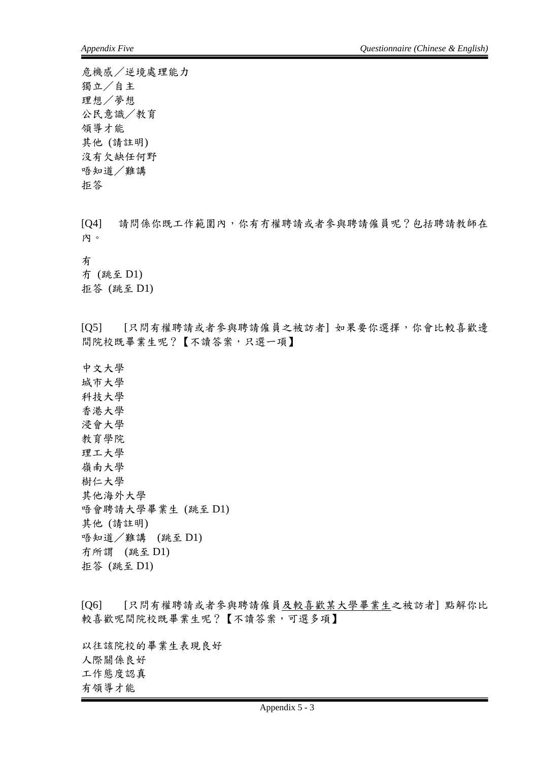危機感/逆境處理能力 獨立/自主 理想/夢想 公民意識/教育 領導才能 其他 (請註明) 沒有欠缺任何野 唔知道/難講 拒答

[Q4] 請問係你既工作範圍內,你有冇權聘請或者參與聘請僱員呢?包括聘請教師在 內。

有

冇 (跳至 D1) 拒答 (跳至 D1)

[Q5] [只問有權聘請或者參與聘請僱員之被訪者] 如果要你選擇,你會比較喜歡邊 間院校既畢業生呢?【不讀答案,只選一項】

中文大學 城市大學 科技大學 香港大學 浸會大學 教育學院 理工大學 嶺南大學 樹仁大學 其他海外大學 唔會聘請大學畢業生 (跳至 D1) 其他 (請註明) 唔知道/難講 (跳至 D1) 冇所謂 (跳至 D1) 拒答 (跳至 D1)

[Q6] [只問有權聘請或者參與聘請僱員及較喜歡某大學畢業生之被訪者] 點解你比 較喜歡呢間院校既畢業生呢?【不讀答案,可選多項】

以往該院校的畢業生表現良好 人際關係良好 工作態度認真 有領導才能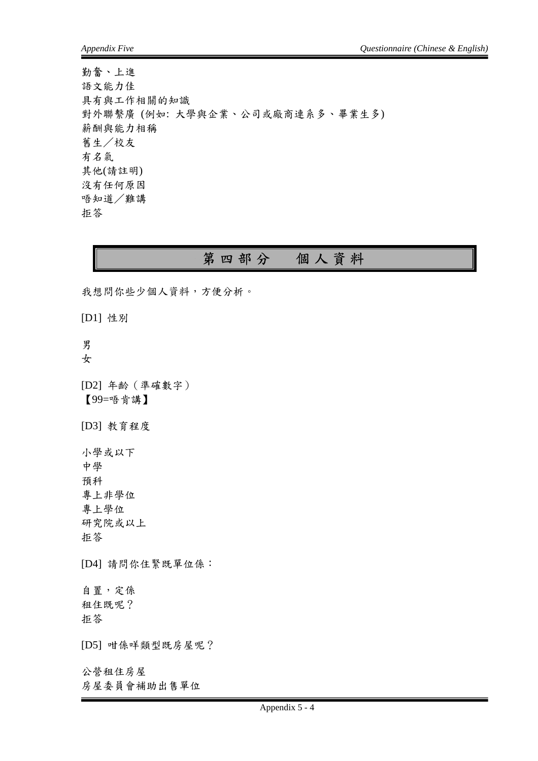勤奮、上進 語文能力佳 具有與工作相關的知識 對外聯繫廣 (例如: 大學與企業、公司或廠商連系多、畢業生多) 薪酬與能力相稱 舊生/校友 有名氣 其他(請註明) 沒有任何原因 唔知道/難講 拒答

## 第四部分個人資料

我想問你些少個人資料,方便分析。

[D1] 性別

男

女

[D2] 年齡(準確數字) 【99=唔肯講】

[D3] 教育程度

小學或以下 中學 預科 專上非學位 專上學位 研究院或以上 拒答

[D4] 請問你住緊既單位係:

自置,定係 租住既呢? 拒答

[D5] 咁係咩類型既房屋呢?

公營租住房屋 房屋委員會補助出售單位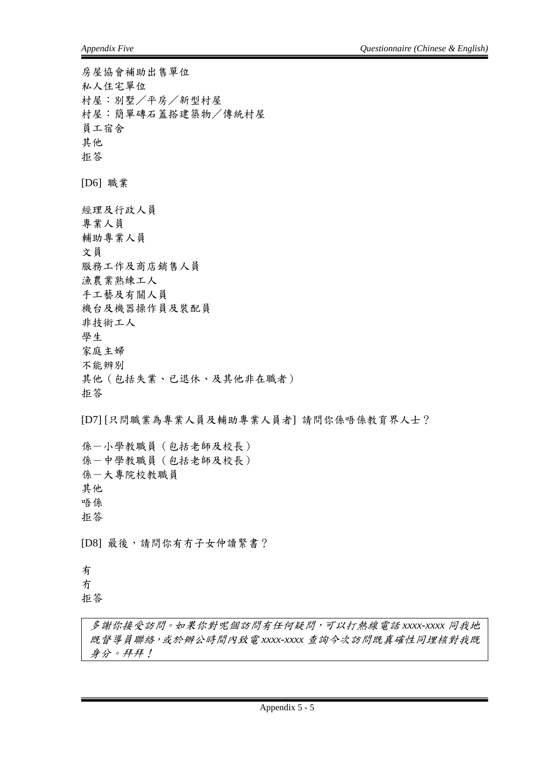房屋協會補助出售單位 私人住宅單位 村屋:別墅/平房/新型村屋 村屋:簡單磚石蓋搭建築物/傳統村屋 員工宿舍 其他 拒答 [D6] 職業 經理及行政人員 專業人員 輔助專業人員 文員 服務工作及商店銷售人員 漁農業熟練工人 手工藝及有關人員 機台及機器操作員及裝配員 非技術工人 學生 家庭主婦 不能辨別 其他(包括失業、已退休、及其他非在職者) 拒答 [D7] [只問職業為專業人員及輔助專業人員者] 請問你係唔係教育界人士?

係-小學教職員(包括老師及校長) 係-中學教職員(包括老師及校長) 係-大專院校教職員 其他 唔係 拒答

[D8] 最後,請問你有冇子女仲讀緊書?

有 冇

拒答

多謝你接受訪問。如果你對呢個訪問有任何疑問,可以打熱線電話 *xxxx-xxxx* 同我地 既督導員聯絡,或於辦公時間內致電 *xxxx-xxxx* 查詢今次訪問既真確性同埋核對我既 身分。拜拜!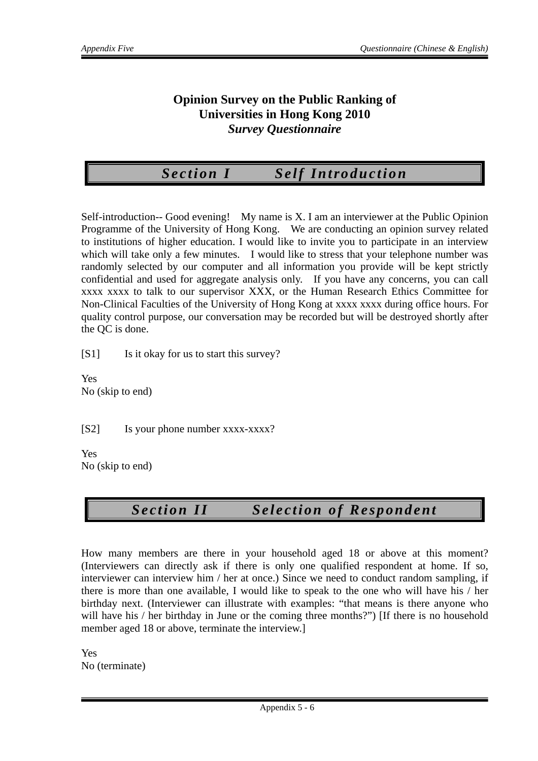#### **Opinion Survey on the Public Ranking of Universities in Hong Kong 2010**  *Survey Questionnaire*

*Section I Self Introduction* 

Self-introduction-- Good evening! My name is X. I am an interviewer at the Public Opinion Programme of the University of Hong Kong. We are conducting an opinion survey related to institutions of higher education. I would like to invite you to participate in an interview which will take only a few minutes. I would like to stress that your telephone number was randomly selected by our computer and all information you provide will be kept strictly confidential and used for aggregate analysis only. If you have any concerns, you can call xxxx xxxx to talk to our supervisor XXX, or the Human Research Ethics Committee for Non-Clinical Faculties of the University of Hong Kong at xxxx xxxx during office hours. For quality control purpose, our conversation may be recorded but will be destroyed shortly after the QC is done.

[S1] Is it okay for us to start this survey?

Yes No (skip to end)

[S2] Is your phone number xxxx-xxxx?

Yes No (skip to end)

# *Sectio n II Sele ction of Respondent*

How many members are there in your household aged 18 or above at this moment? (Interviewers can directly ask if there is only one qualified respondent at home. If so, interviewer can interview him / her at once.) Since we need to conduct random sampling, if there is more than one available, I would like to speak to the one who will have his / her birthday next. (Interviewer can illustrate with examples: "that means is there anyone who will have his / her birthday in June or the coming three months?") [If there is no household member aged 18 or above, terminate the interview.]

Yes No (terminate)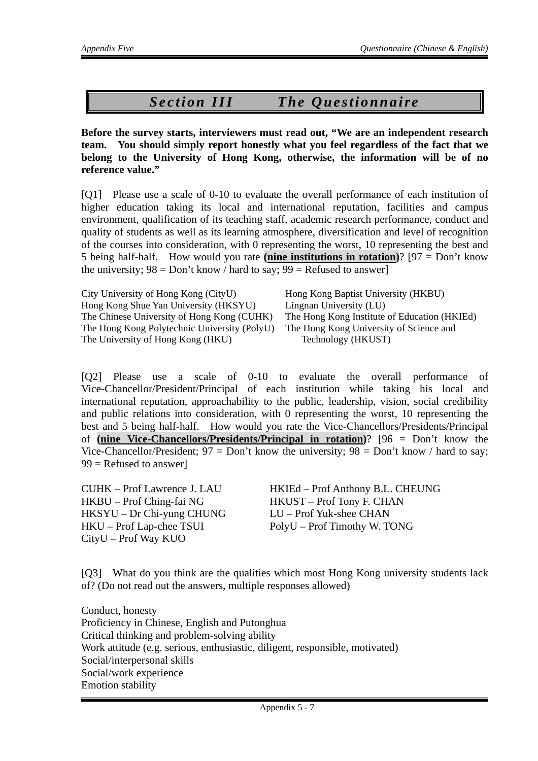## *Sectio n III The Questionnaire*

**Before the survey starts, interviewers must read out, "We are an independent research team. You should simply report honestly what you feel regardless of the fact that we belong to the University of Hong Kong, otherwise, the information will be of no reference value."** 

[Q1] Please use a scale of 0-10 to evaluate the overall performance of each institution of higher education taking its local and international reputation, facilities and campus environment, qualification of its teaching staff, academic research performance, conduct and quality of students as well as its learning atmosphere, diversification and level of recognition of the courses into consideration, with 0 representing the worst, 10 representing the best and 5 being half-half. How would you rate **(nine institutions in rotation)**? [97 = Don't know the university;  $98 = Don't know / hard to say; 99 = Refused to answer$ 

| City University of Hong Kong (CityU)         | Hong Kong Baptist University (HKBU)          |
|----------------------------------------------|----------------------------------------------|
| Hong Kong Shue Yan University (HKSYU)        | Lingnan University (LU)                      |
| The Chinese University of Hong Kong (CUHK)   | The Hong Kong Institute of Education (HKIEd) |
| The Hong Kong Polytechnic University (PolyU) | The Hong Kong University of Science and      |
| The University of Hong Kong (HKU)            | Technology (HKUST)                           |

[Q2] Please use a scale of 0-10 to evaluate the overall performance of Vice-Chancellor/President/Principal of each institution while taking his local and international reputation, approachability to the public, leadership, vision, social credibility and public relations into consideration, with 0 representing the worst, 10 representing the best and 5 being half-half. How would you rate the Vice-Chancellors/Presidents/Principal of **(nine Vice-Chancellors/Presidents/Principal in rotation)**? [96 = Don't know the Vice-Chancellor/President;  $97 = Don't know the university; 98 = Don't know / hard to say;$  $99$  = Refused to answer]

HKBU – Prof Ching-fai NG HKUST – Prof Tony F. CHAN HKSYU – Dr Chi-yung CHUNG LU – Prof Yuk-shee CHAN HKU – Prof Lap-chee TSUI PolyU – Prof Timothy W. TONG CityU – Prof Way KUO

CUHK – Prof Lawrence J. LAU HKIEd – Prof Anthony B.L. CHEUNG

[Q3] What do you think are the qualities which most Hong Kong university students lack of? (Do not read out the answers, multiple responses allowed)

Conduct, honesty Proficiency in Chinese, English and Putonghua Critical thinking and problem-solving ability Work attitude (e.g. serious, enthusiastic, diligent, responsible, motivated) Social/interpersonal skills Social/work experience Emotion stability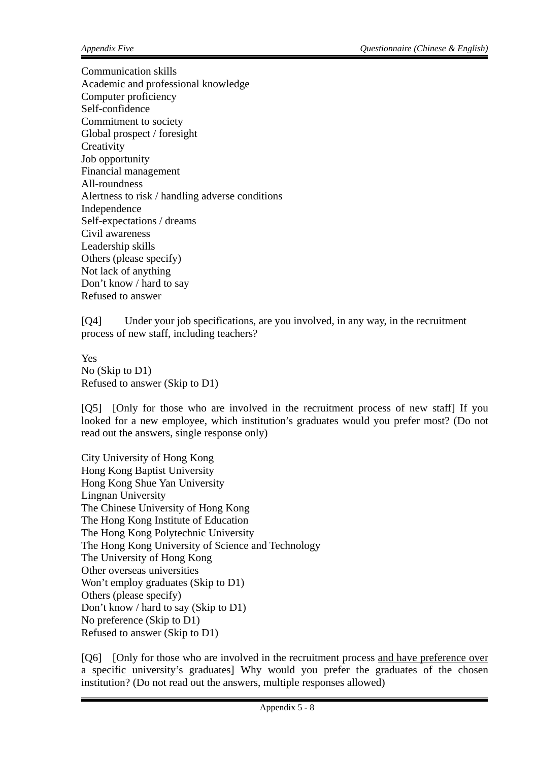Communication skills Academic and professional knowledge Computer proficiency Self-confidence Commitment to society Global prospect / foresight **Creativity** Job opportunity Financial management All-roundness Alertness to risk / handling adverse conditions Independence Self-expectations / dreams Civil awareness Leadership skills Others (please specify) Not lack of anything Don't know / hard to say Refused to answer

[Q4] Under your job specifications, are you involved, in any way, in the recruitment process of new staff, including teachers?

Yes No (Skip to D1) Refused to answer (Skip to D1)

[Q5] [Only for those who are involved in the recruitment process of new staff] If you looked for a new employee, which institution's graduates would you prefer most? (Do not read out the answers, single response only)

City University of Hong Kong Hong Kong Baptist University Hong Kong Shue Yan University Lingnan University The Chinese University of Hong Kong The Hong Kong Institute of Education The Hong Kong Polytechnic University The Hong Kong University of Science and Technology The University of Hong Kong Other overseas universities Won't employ graduates (Skip to D1) Others (please specify) Don't know / hard to say (Skip to D1) No preference (Skip to D1) Refused to answer (Skip to D1)

[Q6] [Only for those who are involved in the recruitment process and have preference over a specific university's graduates] Why would you prefer the graduates of the chosen institution? (Do not read out the answers, multiple responses allowed)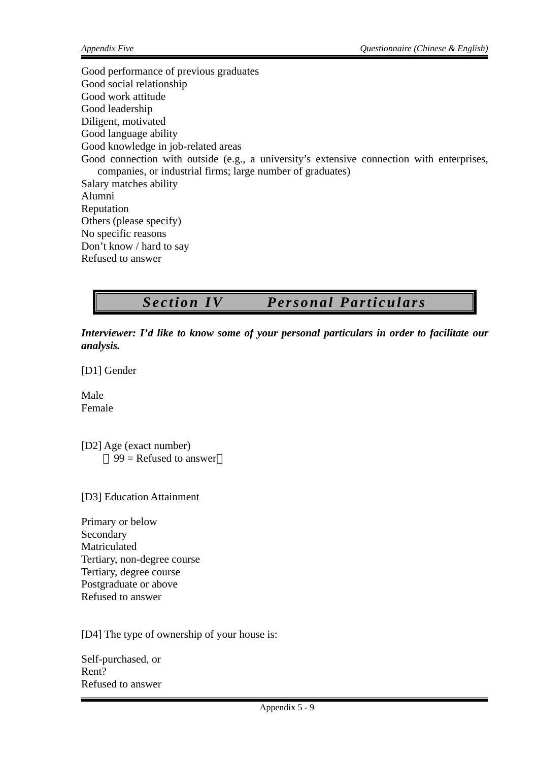Good performance of previous graduates Good social relationship Good work attitude Good leadership Diligent, motivated Good language ability Good knowledge in job-related areas Good connection with outside (e.g., a university's extensive connection with enterprises, companies, or industrial firms; large number of graduates) Salary matches ability Alumni Reputation Others (please specify) No specific reasons Don't know / hard to say Refused to answer

*Sectio n IV Personal Partic ulars* 

*Interviewer: I'd like to know some of your personal particulars in order to facilitate our analysis.* 

[D1] Gender

Male Female

[D2] Age (exact number)  $99$  = Refused to answer

[D3] Education Attainment

Primary or below Secondary Matriculated Tertiary, non-degree course Tertiary, degree course Postgraduate or above Refused to answer

[D4] The type of ownership of your house is:

Self-purchased, or Rent? Refused to answer